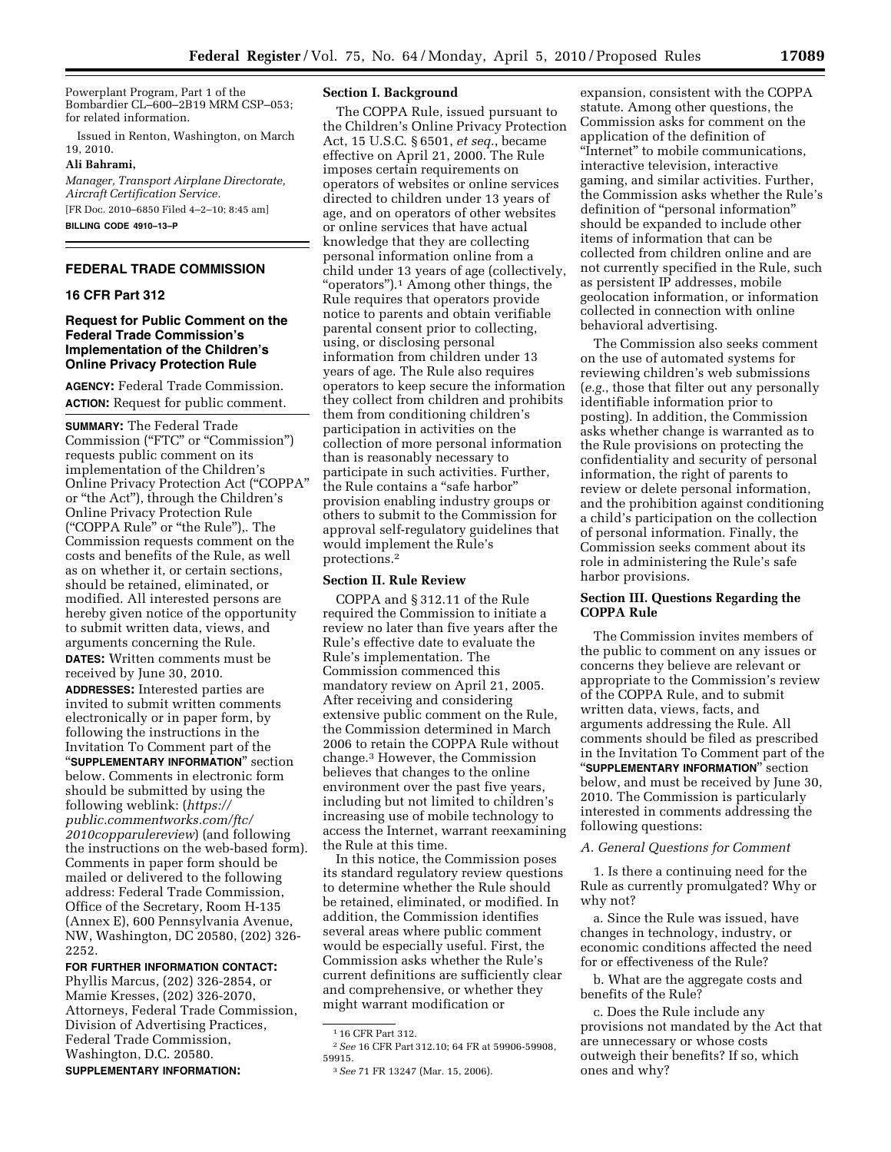Powerplant Program, Part 1 of the Bombardier CL–600–2B19 MRM CSP–053; for related information.

Issued in Renton, Washington, on March 19, 2010.

#### **Ali Bahrami,**

*Manager, Transport Airplane Directorate, Aircraft Certification Service.*  [FR Doc. 2010–6850 Filed 4–2–10; 8:45 am]

**BILLING CODE 4910–13–P** 

#### **FEDERAL TRADE COMMISSION**

# **16 CFR Part 312**

## **Request for Public Comment on the Federal Trade Commission's Implementation of the Children's Online Privacy Protection Rule**

**AGENCY:** Federal Trade Commission. **ACTION:** Request for public comment.

**SUMMARY:** The Federal Trade Commission ("FTC" or "Commission") requests public comment on its implementation of the Children's Online Privacy Protection Act (''COPPA'' or ''the Act''), through the Children's Online Privacy Protection Rule (''COPPA Rule'' or ''the Rule''),. The Commission requests comment on the costs and benefits of the Rule, as well as on whether it, or certain sections, should be retained, eliminated, or modified. All interested persons are hereby given notice of the opportunity to submit written data, views, and arguments concerning the Rule. **DATES:** Written comments must be received by June 30, 2010. **ADDRESSES:** Interested parties are invited to submit written comments electronically or in paper form, by following the instructions in the Invitation To Comment part of the ''**SUPPLEMENTARY INFORMATION**'' section below. Comments in electronic form should be submitted by using the following weblink: (*https:// public.commentworks.com/ftc/ 2010copparulereview*) (and following the instructions on the web-based form). Comments in paper form should be mailed or delivered to the following address: Federal Trade Commission, Office of the Secretary, Room H-135 (Annex E), 600 Pennsylvania Avenue, NW, Washington, DC 20580, (202) 326- 2252.

#### **FOR FURTHER INFORMATION CONTACT:**

Phyllis Marcus, (202) 326-2854, or Mamie Kresses, (202) 326-2070, Attorneys, Federal Trade Commission, Division of Advertising Practices, Federal Trade Commission, Washington, D.C. 20580. **SUPPLEMENTARY INFORMATION:** 

## **Section I. Background**

The COPPA Rule, issued pursuant to the Children's Online Privacy Protection Act, 15 U.S.C. § 6501, *et seq.*, became effective on April 21, 2000. The Rule imposes certain requirements on operators of websites or online services directed to children under 13 years of age, and on operators of other websites or online services that have actual knowledge that they are collecting personal information online from a child under 13 years of age (collectively, "operators").<sup>1</sup> Among other things, the Rule requires that operators provide notice to parents and obtain verifiable parental consent prior to collecting, using, or disclosing personal information from children under 13 years of age. The Rule also requires operators to keep secure the information they collect from children and prohibits them from conditioning children's participation in activities on the collection of more personal information than is reasonably necessary to participate in such activities. Further, the Rule contains a ''safe harbor'' provision enabling industry groups or others to submit to the Commission for approval self-regulatory guidelines that would implement the Rule's protections.2

#### **Section II. Rule Review**

COPPA and § 312.11 of the Rule required the Commission to initiate a review no later than five years after the Rule's effective date to evaluate the Rule's implementation. The Commission commenced this mandatory review on April 21, 2005. After receiving and considering extensive public comment on the Rule, the Commission determined in March 2006 to retain the COPPA Rule without change.3 However, the Commission believes that changes to the online environment over the past five years, including but not limited to children's increasing use of mobile technology to access the Internet, warrant reexamining the Rule at this time.

In this notice, the Commission poses its standard regulatory review questions to determine whether the Rule should be retained, eliminated, or modified. In addition, the Commission identifies several areas where public comment would be especially useful. First, the Commission asks whether the Rule's current definitions are sufficiently clear and comprehensive, or whether they might warrant modification or

expansion, consistent with the COPPA statute. Among other questions, the Commission asks for comment on the application of the definition of "Internet" to mobile communications, interactive television, interactive gaming, and similar activities. Further, the Commission asks whether the Rule's definition of "personal information" should be expanded to include other items of information that can be collected from children online and are not currently specified in the Rule, such as persistent IP addresses, mobile geolocation information, or information collected in connection with online behavioral advertising.

The Commission also seeks comment on the use of automated systems for reviewing children's web submissions (*e.g.*, those that filter out any personally identifiable information prior to posting). In addition, the Commission asks whether change is warranted as to the Rule provisions on protecting the confidentiality and security of personal information, the right of parents to review or delete personal information, and the prohibition against conditioning a child's participation on the collection of personal information. Finally, the Commission seeks comment about its role in administering the Rule's safe harbor provisions.

### **Section III. Questions Regarding the COPPA Rule**

The Commission invites members of the public to comment on any issues or concerns they believe are relevant or appropriate to the Commission's review of the COPPA Rule, and to submit written data, views, facts, and arguments addressing the Rule. All comments should be filed as prescribed in the Invitation To Comment part of the ''**SUPPLEMENTARY INFORMATION**'' section below, and must be received by June 30, 2010. The Commission is particularly interested in comments addressing the following questions:

#### *A. General Questions for Comment*

1. Is there a continuing need for the Rule as currently promulgated? Why or why not?

a. Since the Rule was issued, have changes in technology, industry, or economic conditions affected the need for or effectiveness of the Rule?

b. What are the aggregate costs and benefits of the Rule?

c. Does the Rule include any provisions not mandated by the Act that are unnecessary or whose costs outweigh their benefits? If so, which ones and why?

<sup>1</sup> 16 CFR Part 312.

<sup>2</sup>*See* 16 CFR Part 312.10; 64 FR at 59906-59908, 59915.

<sup>3</sup>*See* 71 FR 13247 (Mar. 15, 2006).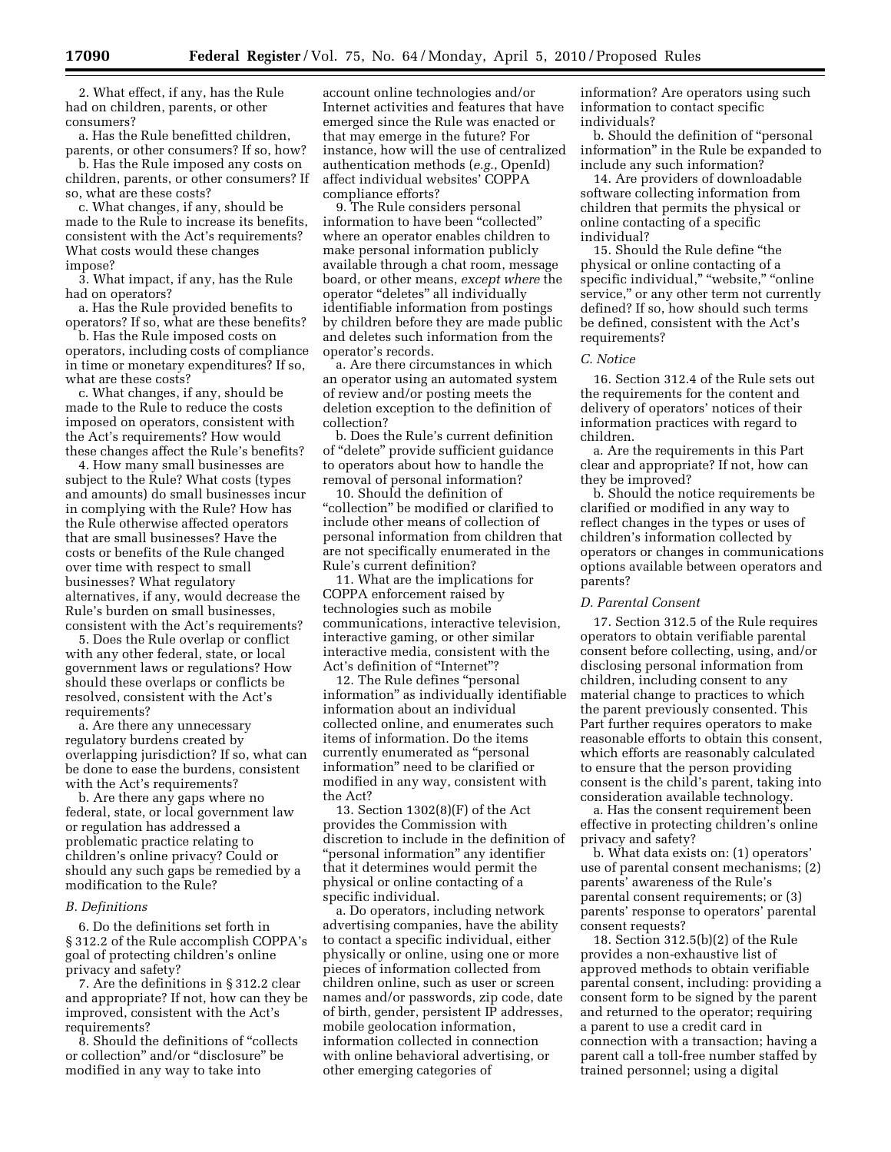2. What effect, if any, has the Rule had on children, parents, or other consumers?

a. Has the Rule benefitted children, parents, or other consumers? If so, how?

b. Has the Rule imposed any costs on children, parents, or other consumers? If so, what are these costs?

c. What changes, if any, should be made to the Rule to increase its benefits, consistent with the Act's requirements? What costs would these changes impose?

3. What impact, if any, has the Rule had on operators?

a. Has the Rule provided benefits to operators? If so, what are these benefits?

b. Has the Rule imposed costs on operators, including costs of compliance in time or monetary expenditures? If so, what are these costs?

c. What changes, if any, should be made to the Rule to reduce the costs imposed on operators, consistent with the Act's requirements? How would these changes affect the Rule's benefits?

4. How many small businesses are subject to the Rule? What costs (types and amounts) do small businesses incur in complying with the Rule? How has the Rule otherwise affected operators that are small businesses? Have the costs or benefits of the Rule changed over time with respect to small businesses? What regulatory alternatives, if any, would decrease the Rule's burden on small businesses, consistent with the Act's requirements?

5. Does the Rule overlap or conflict with any other federal, state, or local government laws or regulations? How should these overlaps or conflicts be resolved, consistent with the Act's requirements?

a. Are there any unnecessary regulatory burdens created by overlapping jurisdiction? If so, what can be done to ease the burdens, consistent with the Act's requirements?

b. Are there any gaps where no federal, state, or local government law or regulation has addressed a problematic practice relating to children's online privacy? Could or should any such gaps be remedied by a modification to the Rule?

### *B. Definitions*

6. Do the definitions set forth in § 312.2 of the Rule accomplish COPPA's goal of protecting children's online privacy and safety?

7. Are the definitions in § 312.2 clear and appropriate? If not, how can they be improved, consistent with the Act's requirements?

8. Should the definitions of ''collects or collection'' and/or ''disclosure'' be modified in any way to take into

account online technologies and/or Internet activities and features that have emerged since the Rule was enacted or that may emerge in the future? For instance, how will the use of centralized authentication methods (*e.g.*, OpenId) affect individual websites' COPPA compliance efforts?

9. The Rule considers personal information to have been ''collected'' where an operator enables children to make personal information publicly available through a chat room, message board, or other means, *except where* the operator ''deletes'' all individually identifiable information from postings by children before they are made public and deletes such information from the operator's records.

a. Are there circumstances in which an operator using an automated system of review and/or posting meets the deletion exception to the definition of collection?

b. Does the Rule's current definition of ''delete'' provide sufficient guidance to operators about how to handle the removal of personal information?

10. Should the definition of ''collection'' be modified or clarified to include other means of collection of personal information from children that are not specifically enumerated in the Rule's current definition?

11. What are the implications for COPPA enforcement raised by technologies such as mobile communications, interactive television, interactive gaming, or other similar interactive media, consistent with the Act's definition of ''Internet''?

12. The Rule defines ''personal information'' as individually identifiable information about an individual collected online, and enumerates such items of information. Do the items currently enumerated as ''personal information'' need to be clarified or modified in any way, consistent with the Act?

13. Section 1302(8)(F) of the Act provides the Commission with discretion to include in the definition of ''personal information'' any identifier that it determines would permit the physical or online contacting of a specific individual.

a. Do operators, including network advertising companies, have the ability to contact a specific individual, either physically or online, using one or more pieces of information collected from children online, such as user or screen names and/or passwords, zip code, date of birth, gender, persistent IP addresses, mobile geolocation information, information collected in connection with online behavioral advertising, or other emerging categories of

information? Are operators using such information to contact specific individuals?

b. Should the definition of ''personal information'' in the Rule be expanded to include any such information?

14. Are providers of downloadable software collecting information from children that permits the physical or online contacting of a specific individual?

15. Should the Rule define ''the physical or online contacting of a specific individual," "website," "online service,'' or any other term not currently defined? If so, how should such terms be defined, consistent with the Act's requirements?

#### *C. Notice*

16. Section 312.4 of the Rule sets out the requirements for the content and delivery of operators' notices of their information practices with regard to children.

a. Are the requirements in this Part clear and appropriate? If not, how can they be improved?

b. Should the notice requirements be clarified or modified in any way to reflect changes in the types or uses of children's information collected by operators or changes in communications options available between operators and parents?

#### *D. Parental Consent*

17. Section 312.5 of the Rule requires operators to obtain verifiable parental consent before collecting, using, and/or disclosing personal information from children, including consent to any material change to practices to which the parent previously consented. This Part further requires operators to make reasonable efforts to obtain this consent, which efforts are reasonably calculated to ensure that the person providing consent is the child's parent, taking into consideration available technology.

a. Has the consent requirement been effective in protecting children's online privacy and safety?

b. What data exists on: (1) operators' use of parental consent mechanisms; (2) parents' awareness of the Rule's parental consent requirements; or (3) parents' response to operators' parental consent requests?

18. Section 312.5(b)(2) of the Rule provides a non-exhaustive list of approved methods to obtain verifiable parental consent, including: providing a consent form to be signed by the parent and returned to the operator; requiring a parent to use a credit card in connection with a transaction; having a parent call a toll-free number staffed by trained personnel; using a digital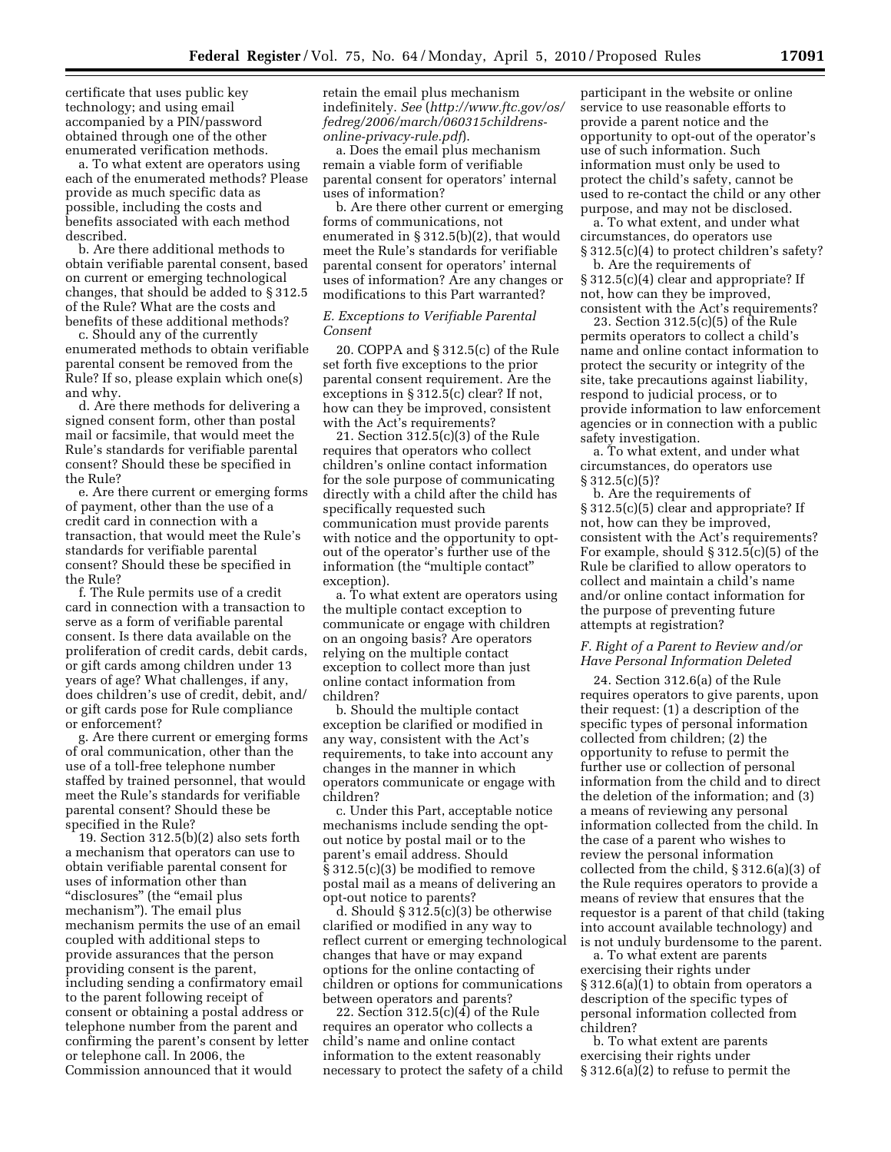certificate that uses public key technology; and using email accompanied by a PIN/password obtained through one of the other enumerated verification methods.

a. To what extent are operators using each of the enumerated methods? Please provide as much specific data as possible, including the costs and benefits associated with each method described.

b. Are there additional methods to obtain verifiable parental consent, based on current or emerging technological changes, that should be added to § 312.5 of the Rule? What are the costs and benefits of these additional methods?

c. Should any of the currently enumerated methods to obtain verifiable parental consent be removed from the Rule? If so, please explain which one(s) and why.

d. Are there methods for delivering a signed consent form, other than postal mail or facsimile, that would meet the Rule's standards for verifiable parental consent? Should these be specified in the Rule?

e. Are there current or emerging forms of payment, other than the use of a credit card in connection with a transaction, that would meet the Rule's standards for verifiable parental consent? Should these be specified in the Rule?

f. The Rule permits use of a credit card in connection with a transaction to serve as a form of verifiable parental consent. Is there data available on the proliferation of credit cards, debit cards, or gift cards among children under 13 years of age? What challenges, if any, does children's use of credit, debit, and/ or gift cards pose for Rule compliance or enforcement?

g. Are there current or emerging forms of oral communication, other than the use of a toll-free telephone number staffed by trained personnel, that would meet the Rule's standards for verifiable parental consent? Should these be specified in the Rule?

19. Section 312.5(b)(2) also sets forth a mechanism that operators can use to obtain verifiable parental consent for uses of information other than "disclosures" (the "email plus mechanism''). The email plus mechanism permits the use of an email coupled with additional steps to provide assurances that the person providing consent is the parent, including sending a confirmatory email to the parent following receipt of consent or obtaining a postal address or telephone number from the parent and confirming the parent's consent by letter or telephone call. In 2006, the Commission announced that it would

retain the email plus mechanism indefinitely. *See* (*http://www.ftc.gov/os/ fedreg/2006/march/060315childrensonline-privacy-rule.pdf*).

a. Does the email plus mechanism remain a viable form of verifiable parental consent for operators' internal uses of information?

b. Are there other current or emerging forms of communications, not enumerated in § 312.5(b)(2), that would meet the Rule's standards for verifiable parental consent for operators' internal uses of information? Are any changes or modifications to this Part warranted?

#### *E. Exceptions to Verifiable Parental Consent*

20. COPPA and § 312.5(c) of the Rule set forth five exceptions to the prior parental consent requirement. Are the exceptions in § 312.5(c) clear? If not, how can they be improved, consistent with the Act's requirements?

21. Section 312.5(c)(3) of the Rule requires that operators who collect children's online contact information for the sole purpose of communicating directly with a child after the child has specifically requested such communication must provide parents with notice and the opportunity to optout of the operator's further use of the information (the "multiple contact" exception).

a. To what extent are operators using the multiple contact exception to communicate or engage with children on an ongoing basis? Are operators relying on the multiple contact exception to collect more than just online contact information from children?

b. Should the multiple contact exception be clarified or modified in any way, consistent with the Act's requirements, to take into account any changes in the manner in which operators communicate or engage with children?

c. Under this Part, acceptable notice mechanisms include sending the optout notice by postal mail or to the parent's email address. Should § 312.5(c)(3) be modified to remove postal mail as a means of delivering an opt-out notice to parents?

d. Should § 312.5(c)(3) be otherwise clarified or modified in any way to reflect current or emerging technological changes that have or may expand options for the online contacting of children or options for communications between operators and parents?

22. Section 312.5(c)(4) of the Rule requires an operator who collects a child's name and online contact information to the extent reasonably necessary to protect the safety of a child

participant in the website or online service to use reasonable efforts to provide a parent notice and the opportunity to opt-out of the operator's use of such information. Such information must only be used to protect the child's safety, cannot be used to re-contact the child or any other purpose, and may not be disclosed.

a. To what extent, and under what circumstances, do operators use § 312.5(c)(4) to protect children's safety?

b. Are the requirements of § 312.5(c)(4) clear and appropriate? If not, how can they be improved, consistent with the Act's requirements?

23. Section 312.5(c)(5) of the Rule permits operators to collect a child's name and online contact information to protect the security or integrity of the site, take precautions against liability, respond to judicial process, or to provide information to law enforcement agencies or in connection with a public safety investigation.

a. To what extent, and under what circumstances, do operators use § 312.5(c)(5)?

b. Are the requirements of § 312.5(c)(5) clear and appropriate? If not, how can they be improved, consistent with the Act's requirements? For example, should § 312.5(c)(5) of the Rule be clarified to allow operators to collect and maintain a child's name and/or online contact information for the purpose of preventing future attempts at registration?

## *F. Right of a Parent to Review and/or Have Personal Information Deleted*

24. Section 312.6(a) of the Rule requires operators to give parents, upon their request: (1) a description of the specific types of personal information collected from children; (2) the opportunity to refuse to permit the further use or collection of personal information from the child and to direct the deletion of the information; and (3) a means of reviewing any personal information collected from the child. In the case of a parent who wishes to review the personal information collected from the child, § 312.6(a)(3) of the Rule requires operators to provide a means of review that ensures that the requestor is a parent of that child (taking into account available technology) and is not unduly burdensome to the parent.

a. To what extent are parents exercising their rights under § 312.6(a)(1) to obtain from operators a description of the specific types of personal information collected from children?

b. To what extent are parents exercising their rights under § 312.6(a)(2) to refuse to permit the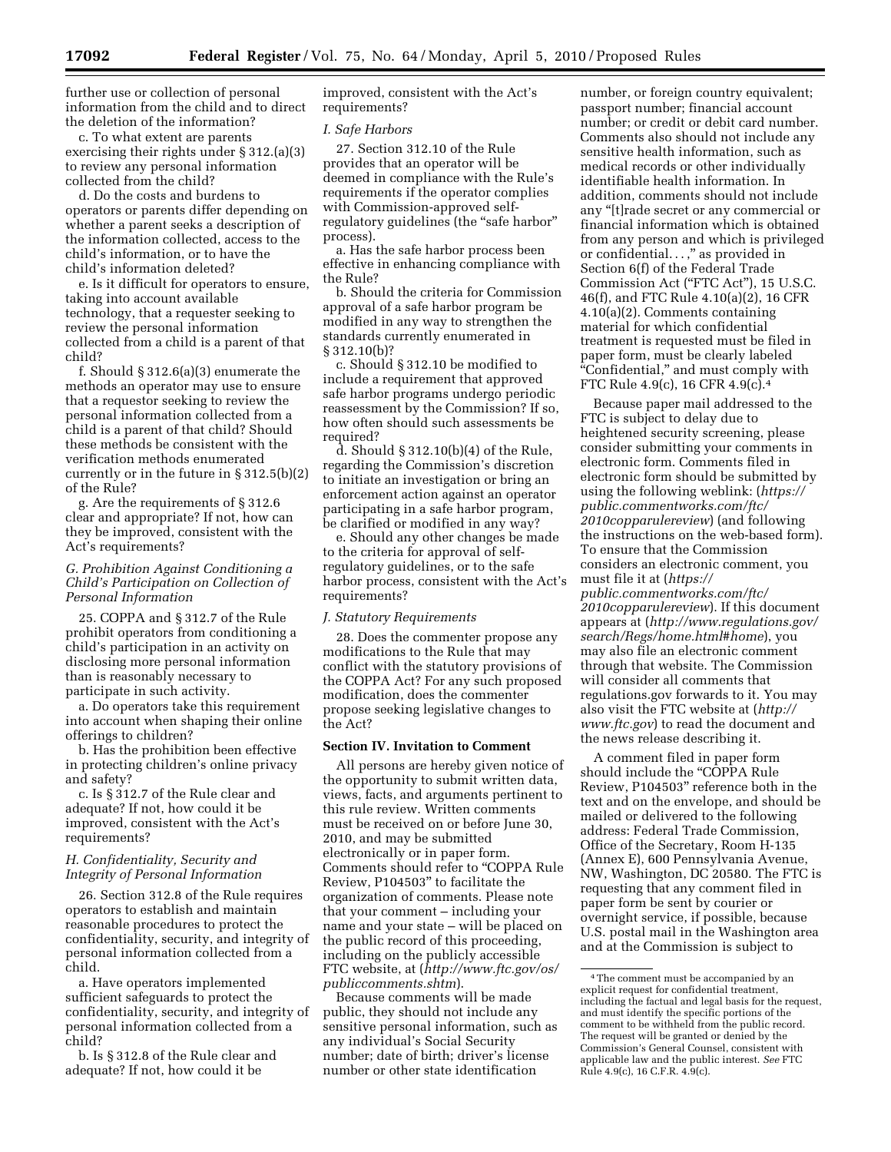further use or collection of personal information from the child and to direct the deletion of the information?

c. To what extent are parents exercising their rights under § 312.(a)(3) to review any personal information collected from the child?

d. Do the costs and burdens to operators or parents differ depending on whether a parent seeks a description of the information collected, access to the child's information, or to have the child's information deleted?

e. Is it difficult for operators to ensure, taking into account available technology, that a requester seeking to review the personal information collected from a child is a parent of that child?

f. Should § 312.6(a)(3) enumerate the methods an operator may use to ensure that a requestor seeking to review the personal information collected from a child is a parent of that child? Should these methods be consistent with the verification methods enumerated currently or in the future in § 312.5(b)(2) of the Rule?

g. Are the requirements of § 312.6 clear and appropriate? If not, how can they be improved, consistent with the Act's requirements?

# *G. Prohibition Against Conditioning a Child's Participation on Collection of Personal Information*

25. COPPA and § 312.7 of the Rule prohibit operators from conditioning a child's participation in an activity on disclosing more personal information than is reasonably necessary to participate in such activity.

a. Do operators take this requirement into account when shaping their online offerings to children?

b. Has the prohibition been effective in protecting children's online privacy and safety?

c. Is § 312.7 of the Rule clear and adequate? If not, how could it be improved, consistent with the Act's requirements?

### *H. Confidentiality, Security and Integrity of Personal Information*

26. Section 312.8 of the Rule requires operators to establish and maintain reasonable procedures to protect the confidentiality, security, and integrity of personal information collected from a child.

a. Have operators implemented sufficient safeguards to protect the confidentiality, security, and integrity of personal information collected from a child?

b. Is § 312.8 of the Rule clear and adequate? If not, how could it be

improved, consistent with the Act's requirements?

## *I. Safe Harbors*

27. Section 312.10 of the Rule provides that an operator will be deemed in compliance with the Rule's requirements if the operator complies with Commission-approved selfregulatory guidelines (the "safe harbor" process).

a. Has the safe harbor process been effective in enhancing compliance with the Rule?

b. Should the criteria for Commission approval of a safe harbor program be modified in any way to strengthen the standards currently enumerated in § 312.10(b)?

c. Should § 312.10 be modified to include a requirement that approved safe harbor programs undergo periodic reassessment by the Commission? If so, how often should such assessments be required?

d. Should § 312.10(b)(4) of the Rule, regarding the Commission's discretion to initiate an investigation or bring an enforcement action against an operator participating in a safe harbor program, be clarified or modified in any way?

e. Should any other changes be made to the criteria for approval of selfregulatory guidelines, or to the safe harbor process, consistent with the Act's requirements?

#### *J. Statutory Requirements*

28. Does the commenter propose any modifications to the Rule that may conflict with the statutory provisions of the COPPA Act? For any such proposed modification, does the commenter propose seeking legislative changes to the Act?

## **Section IV. Invitation to Comment**

All persons are hereby given notice of the opportunity to submit written data, views, facts, and arguments pertinent to this rule review. Written comments must be received on or before June 30, 2010, and may be submitted electronically or in paper form. Comments should refer to ''COPPA Rule Review, P104503'' to facilitate the organization of comments. Please note that your comment – including your name and your state – will be placed on the public record of this proceeding, including on the publicly accessible FTC website, at (*http://www.ftc.gov/os/ publiccomments.shtm*).

Because comments will be made public, they should not include any sensitive personal information, such as any individual's Social Security number; date of birth; driver's license number or other state identification

number, or foreign country equivalent; passport number; financial account number; or credit or debit card number. Comments also should not include any sensitive health information, such as medical records or other individually identifiable health information. In addition, comments should not include any ''[t]rade secret or any commercial or financial information which is obtained from any person and which is privileged or confidential...,'' as provided in Section 6(f) of the Federal Trade Commission Act (''FTC Act''), 15 U.S.C. 46(f), and FTC Rule 4.10(a)(2), 16 CFR 4.10(a)(2). Comments containing material for which confidential treatment is requested must be filed in paper form, must be clearly labeled ''Confidential,'' and must comply with FTC Rule 4.9(c), 16 CFR 4.9(c).4

Because paper mail addressed to the FTC is subject to delay due to heightened security screening, please consider submitting your comments in electronic form. Comments filed in electronic form should be submitted by using the following weblink: (*https:// public.commentworks.com/ftc/ 2010copparulereview*) (and following the instructions on the web-based form). To ensure that the Commission considers an electronic comment, you must file it at (*https:// public.commentworks.com/ftc/ 2010copparulereview*). If this document appears at (*http://www.regulations.gov/ search/Regs/home.html#home*), you may also file an electronic comment through that website. The Commission will consider all comments that regulations.gov forwards to it. You may also visit the FTC website at (*http:// www.ftc.gov*) to read the document and the news release describing it.

A comment filed in paper form should include the "COPPA Rule" Review, P104503'' reference both in the text and on the envelope, and should be mailed or delivered to the following address: Federal Trade Commission, Office of the Secretary, Room H-135 (Annex E), 600 Pennsylvania Avenue, NW, Washington, DC 20580. The FTC is requesting that any comment filed in paper form be sent by courier or overnight service, if possible, because U.S. postal mail in the Washington area and at the Commission is subject to

<sup>4</sup>The comment must be accompanied by an explicit request for confidential treatment, including the factual and legal basis for the request, and must identify the specific portions of the comment to be withheld from the public record. The request will be granted or denied by the Commission's General Counsel, consistent with applicable law and the public interest. *See* FTC Rule 4.9(c), 16 C.F.R. 4.9(c).